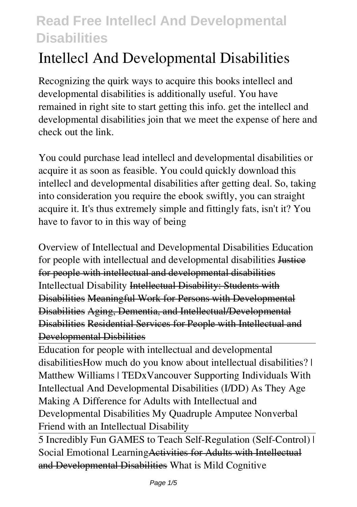# **Intellecl And Developmental Disabilities**

Recognizing the quirk ways to acquire this books **intellecl and developmental disabilities** is additionally useful. You have remained in right site to start getting this info. get the intellecl and developmental disabilities join that we meet the expense of here and check out the link.

You could purchase lead intellecl and developmental disabilities or acquire it as soon as feasible. You could quickly download this intellecl and developmental disabilities after getting deal. So, taking into consideration you require the ebook swiftly, you can straight acquire it. It's thus extremely simple and fittingly fats, isn't it? You have to favor to in this way of being

**Overview of Intellectual and Developmental Disabilities** Education for people with intellectual and developmental disabilities Justice for people with intellectual and developmental disabilities Intellectual Disability Intellectual Disability: Students with Disabilities Meaningful Work for Persons with Developmental Disabilities Aging, Dementia, and Intellectual/Developmental Disabilities Residential Services for People with Intellectual and Developmental Disbilities

Education for people with intellectual and developmental disabilities*How much do you know about intellectual disabilities? | Matthew Williams | TEDxVancouver Supporting Individuals With Intellectual And Developmental Disabilities (I/DD) As They Age* **Making A Difference for Adults with Intellectual and Developmental Disabilities My Quadruple Amputee Nonverbal Friend with an Intellectual Disability**

5 Incredibly Fun GAMES to Teach Self-Regulation (Self-Control) | Social Emotional LearningActivities for Adults with Intellectual and Developmental Disabilities What is Mild Cognitive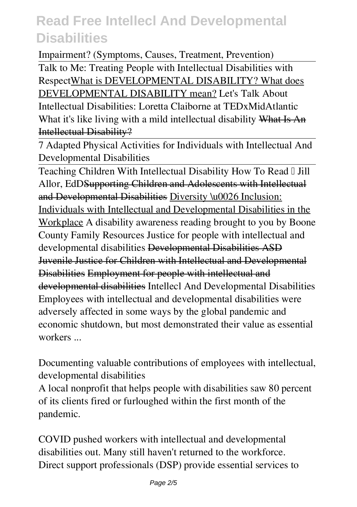Impairment? (Symptoms, Causes, Treatment, Prevention) Talk to Me: Treating People with Intellectual Disabilities with RespectWhat is DEVELOPMENTAL DISABILITY? What does DEVELOPMENTAL DISABILITY mean? Let's Talk About Intellectual Disabilities: Loretta Claiborne at TEDxMidAtlantic *What it's like living with a mild intellectual disability* What Is An Intellectual Disability?

7 Adapted Physical Activities for Individuals with Intellectual And Developmental Disabilities

Teaching Children With Intellectual Disability How To Read I Jill Allor, EdDSupporting Children and Adolescents with Intellectual and Developmental Disabilities Diversity \u0026 Inclusion: Individuals with Intellectual and Developmental Disabilities in the Workplace *A disability awareness reading brought to you by Boone County Family Resources Justice for people with intellectual and developmental disabilities* Developmental Disabilities ASD Juvenile Justice for Children with Intellectual and Developmental Disabilities Employment for people with intellectual and developmental disabilities **Intellecl And Developmental Disabilities** Employees with intellectual and developmental disabilities were adversely affected in some ways by the global pandemic and economic shutdown, but most demonstrated their value as essential workers ...

**Documenting valuable contributions of employees with intellectual, developmental disabilities**

A local nonprofit that helps people with disabilities saw 80 percent of its clients fired or furloughed within the first month of the pandemic.

**COVID pushed workers with intellectual and developmental disabilities out. Many still haven't returned to the workforce.** Direct support professionals (DSP) provide essential services to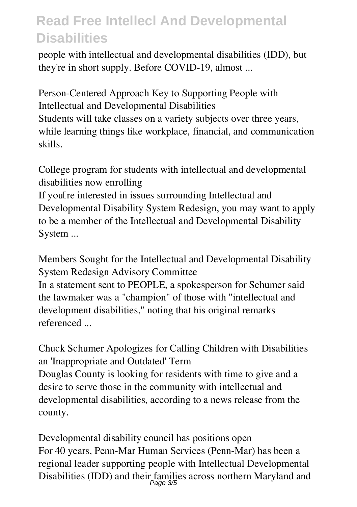people with intellectual and developmental disabilities (IDD), but they're in short supply. Before COVID-19, almost ...

**Person-Centered Approach Key to Supporting People with Intellectual and Developmental Disabilities** Students will take classes on a variety subjects over three years, while learning things like workplace, financial, and communication skills.

**College program for students with intellectual and developmental disabilities now enrolling**

If you'll re interested in issues surrounding Intellectual and Developmental Disability System Redesign, you may want to apply to be a member of the Intellectual and Developmental Disability System ...

**Members Sought for the Intellectual and Developmental Disability System Redesign Advisory Committee**

In a statement sent to PEOPLE, a spokesperson for Schumer said the lawmaker was a "champion" of those with "intellectual and development disabilities," noting that his original remarks referenced ...

**Chuck Schumer Apologizes for Calling Children with Disabilities an 'Inappropriate and Outdated' Term** Douglas County is looking for residents with time to give and a desire to serve those in the community with intellectual and developmental disabilities, according to a news release from the county.

**Developmental disability council has positions open** For 40 years, Penn-Mar Human Services (Penn-Mar) has been a regional leader supporting people with Intellectual Developmental Disabilities (IDD) and their families across northern Maryland and<br>Page 3/5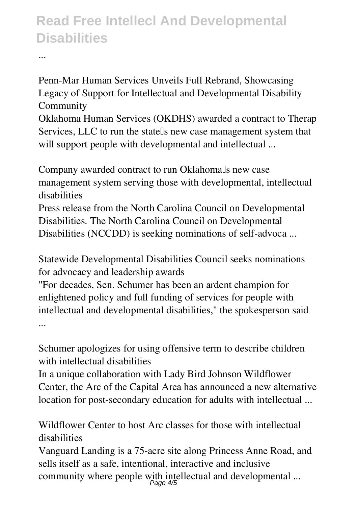...

**Penn-Mar Human Services Unveils Full Rebrand, Showcasing Legacy of Support for Intellectual and Developmental Disability Community**

Oklahoma Human Services (OKDHS) awarded a contract to Therap Services, LLC to run the statells new case management system that will support people with developmental and intellectual ...

Company awarded contract to run Oklahoma<sup>[]</sup>s new case **management system serving those with developmental, intellectual disabilities** Press release from the North Carolina Council on Developmental

Disabilities. The North Carolina Council on Developmental Disabilities (NCCDD) is seeking nominations of self-advoca ...

**Statewide Developmental Disabilities Council seeks nominations for advocacy and leadership awards**

"For decades, Sen. Schumer has been an ardent champion for enlightened policy and full funding of services for people with intellectual and developmental disabilities," the spokesperson said ...

**Schumer apologizes for using offensive term to describe children with intellectual disabilities**

In a unique collaboration with Lady Bird Johnson Wildflower Center, the Arc of the Capital Area has announced a new alternative location for post-secondary education for adults with intellectual ...

**Wildflower Center to host Arc classes for those with intellectual disabilities**

Vanguard Landing is a 75-acre site along Princess Anne Road, and sells itself as a safe, intentional, interactive and inclusive community where people with intellectual and developmental ...<br> $P_{\text{age}}4/5$